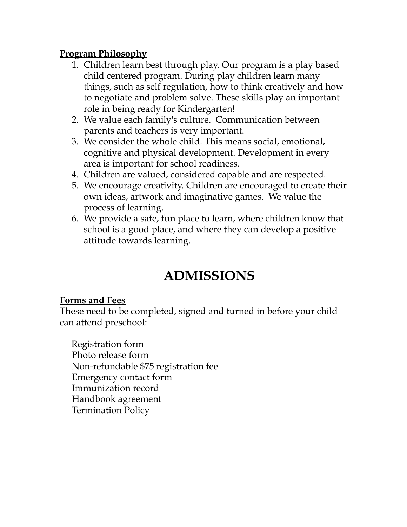#### **Program Philosophy**

- 1. Children learn best through play. Our program is a play based child centered program. During play children learn many things, such as self regulation, how to think creatively and how to negotiate and problem solve. These skills play an important role in being ready for Kindergarten!
- 2. We value each family's culture. Communication between parents and teachers is very important.
- 3. We consider the whole child. This means social, emotional, cognitive and physical development. Development in every area is important for school readiness.
- 4. Children are valued, considered capable and are respected.
- 5. We encourage creativity. Children are encouraged to create their own ideas, artwork and imaginative games. We value the process of learning.
- 6. We provide a safe, fun place to learn, where children know that school is a good place, and where they can develop a positive attitude towards learning.

# **ADMISSIONS**

#### **Forms and Fees**

These need to be completed, signed and turned in before your child can attend preschool:

Registration form Photo release form Non-refundable \$75 registration fee Emergency contact form Immunization record Handbook agreement Termination Policy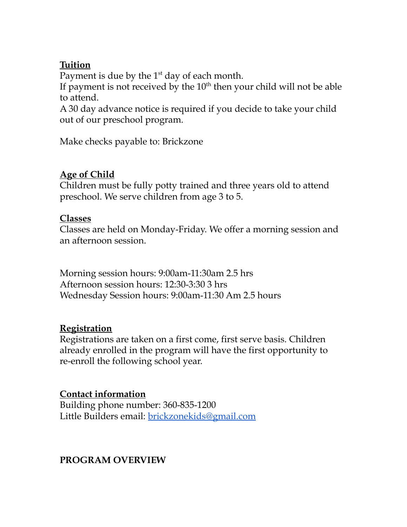## **Tuition**

Payment is due by the  $1<sup>st</sup>$  day of each month.

If payment is not received by the  $10<sup>th</sup>$  then your child will not be able to attend.

A 30 day advance notice is required if you decide to take your child out of our preschool program.

Make checks payable to: Brickzone

## **Age of Child**

Children must be fully potty trained and three years old to attend preschool. We serve children from age 3 to 5.

#### **Classes**

Classes are held on Monday-Friday. We offer a morning session and an afternoon session.

Morning session hours: 9:00am-11:30am 2.5 hrs Afternoon session hours: 12:30-3:30 3 hrs Wednesday Session hours: 9:00am-11:30 Am 2.5 hours

## **Registration**

Registrations are taken on a first come, first serve basis. Children already enrolled in the program will have the first opportunity to re-enroll the following school year.

## **Contact information**

Building phone number: 360-835-1200 Little Builders email: brickzonekids@gmail.com

# **PROGRAM OVERVIEW**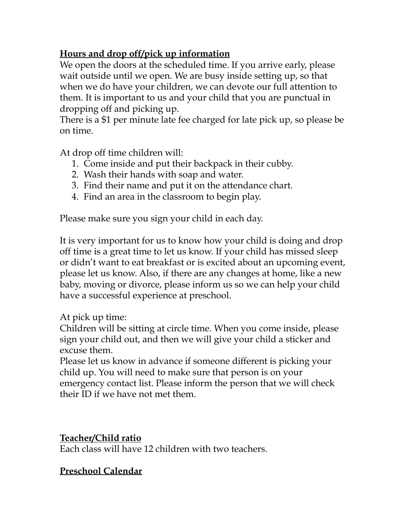# **Hours and drop off/pick up information**

We open the doors at the scheduled time. If you arrive early, please wait outside until we open. We are busy inside setting up, so that when we do have your children, we can devote our full attention to them. It is important to us and your child that you are punctual in dropping off and picking up.

There is a \$1 per minute late fee charged for late pick up, so please be on time.

At drop off time children will:

- 1. Come inside and put their backpack in their cubby.
- 2. Wash their hands with soap and water.
- 3. Find their name and put it on the attendance chart.
- 4. Find an area in the classroom to begin play.

Please make sure you sign your child in each day.

It is very important for us to know how your child is doing and drop off time is a great time to let us know. If your child has missed sleep or didn't want to eat breakfast or is excited about an upcoming event, please let us know. Also, if there are any changes at home, like a new baby, moving or divorce, please inform us so we can help your child have a successful experience at preschool.

At pick up time:

Children will be sitting at circle time. When you come inside, please sign your child out, and then we will give your child a sticker and excuse them.

Please let us know in advance if someone different is picking your child up. You will need to make sure that person is on your emergency contact list. Please inform the person that we will check their ID if we have not met them.

# **Teacher/Child ratio**

Each class will have 12 children with two teachers.

# **Preschool Calendar**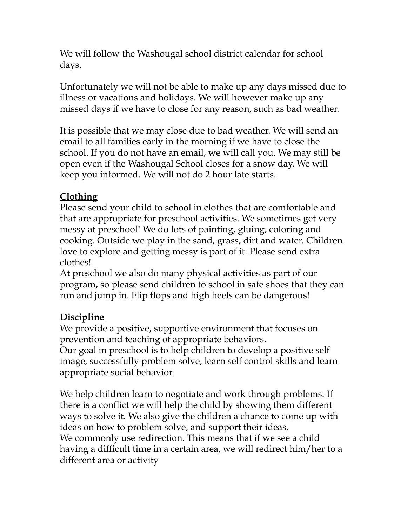We will follow the Washougal school district calendar for school days.

Unfortunately we will not be able to make up any days missed due to illness or vacations and holidays. We will however make up any missed days if we have to close for any reason, such as bad weather.

It is possible that we may close due to bad weather. We will send an email to all families early in the morning if we have to close the school. If you do not have an email, we will call you. We may still be open even if the Washougal School closes for a snow day. We will keep you informed. We will not do 2 hour late starts.

# **Clothing**

Please send your child to school in clothes that are comfortable and that are appropriate for preschool activities. We sometimes get very messy at preschool! We do lots of painting, gluing, coloring and cooking. Outside we play in the sand, grass, dirt and water. Children love to explore and getting messy is part of it. Please send extra clothes!

At preschool we also do many physical activities as part of our program, so please send children to school in safe shoes that they can run and jump in. Flip flops and high heels can be dangerous!

# **Discipline**

We provide a positive, supportive environment that focuses on prevention and teaching of appropriate behaviors.

Our goal in preschool is to help children to develop a positive self image, successfully problem solve, learn self control skills and learn appropriate social behavior.

We help children learn to negotiate and work through problems. If there is a conflict we will help the child by showing them different ways to solve it. We also give the children a chance to come up with ideas on how to problem solve, and support their ideas. We commonly use redirection. This means that if we see a child having a difficult time in a certain area, we will redirect him/her to a different area or activity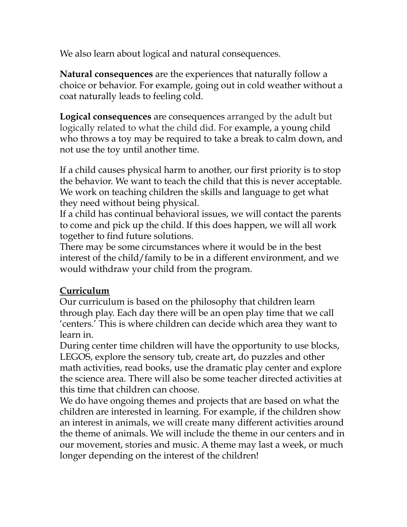We also learn about logical and natural consequences.

**Natural consequences** are the experiences that naturally follow a choice or behavior. For example, going out in cold weather without a coat naturally leads to feeling cold.

**Logical consequences** are consequences arranged by the adult but logically related to what the child did. For example, a young child who throws a toy may be required to take a break to calm down, and not use the toy until another time.

If a child causes physical harm to another, our first priority is to stop the behavior. We want to teach the child that this is never acceptable. We work on teaching children the skills and language to get what they need without being physical.

If a child has continual behavioral issues, we will contact the parents to come and pick up the child. If this does happen, we will all work together to find future solutions.

There may be some circumstances where it would be in the best interest of the child/family to be in a different environment, and we would withdraw your child from the program.

## **Curriculum**

Our curriculum is based on the philosophy that children learn through play. Each day there will be an open play time that we call 'centers.' This is where children can decide which area they want to learn in.

During center time children will have the opportunity to use blocks, LEGOS, explore the sensory tub, create art, do puzzles and other math activities, read books, use the dramatic play center and explore the science area. There will also be some teacher directed activities at this time that children can choose.

We do have ongoing themes and projects that are based on what the children are interested in learning. For example, if the children show an interest in animals, we will create many different activities around the theme of animals. We will include the theme in our centers and in our movement, stories and music. A theme may last a week, or much longer depending on the interest of the children!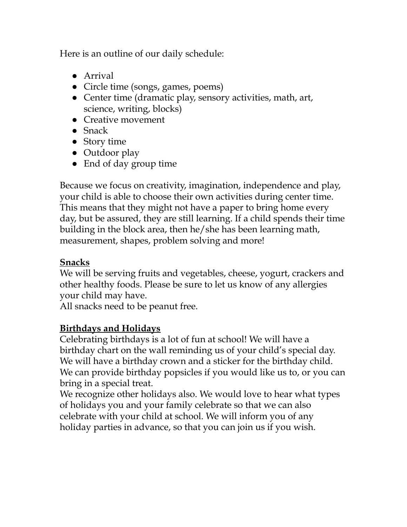Here is an outline of our daily schedule:

- Arrival
- Circle time (songs, games, poems)
- Center time (dramatic play, sensory activities, math, art, science, writing, blocks)
- Creative movement
- Snack
- Story time
- Outdoor play
- End of day group time

Because we focus on creativity, imagination, independence and play, your child is able to choose their own activities during center time. This means that they might not have a paper to bring home every day, but be assured, they are still learning. If a child spends their time building in the block area, then he/she has been learning math, measurement, shapes, problem solving and more!

## **Snacks**

We will be serving fruits and vegetables, cheese, yogurt, crackers and other healthy foods. Please be sure to let us know of any allergies your child may have.

All snacks need to be peanut free.

# **Birthdays and Holidays**

Celebrating birthdays is a lot of fun at school! We will have a birthday chart on the wall reminding us of your child's special day. We will have a birthday crown and a sticker for the birthday child. We can provide birthday popsicles if you would like us to, or you can bring in a special treat.

We recognize other holidays also. We would love to hear what types of holidays you and your family celebrate so that we can also celebrate with your child at school. We will inform you of any holiday parties in advance, so that you can join us if you wish.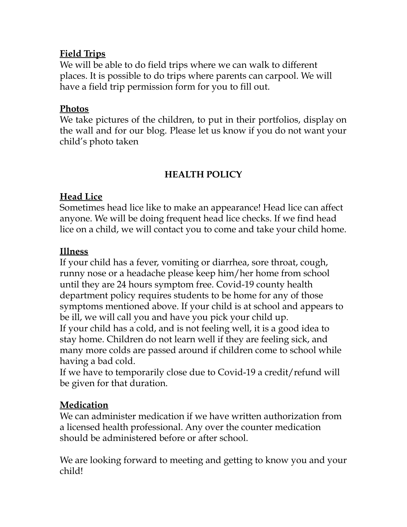## **Field Trips**

We will be able to do field trips where we can walk to different places. It is possible to do trips where parents can carpool. We will have a field trip permission form for you to fill out.

## **Photos**

We take pictures of the children, to put in their portfolios, display on the wall and for our blog. Please let us know if you do not want your child's photo taken

# **HEALTH POLICY**

# **Head Lice**

Sometimes head lice like to make an appearance! Head lice can affect anyone. We will be doing frequent head lice checks. If we find head lice on a child, we will contact you to come and take your child home.

# **Illness**

If your child has a fever, vomiting or diarrhea, sore throat, cough, runny nose or a headache please keep him/her home from school until they are 24 hours symptom free. Covid-19 county health department policy requires students to be home for any of those symptoms mentioned above. If your child is at school and appears to be ill, we will call you and have you pick your child up. If your child has a cold, and is not feeling well, it is a good idea to stay home. Children do not learn well if they are feeling sick, and many more colds are passed around if children come to school while having a bad cold.

If we have to temporarily close due to Covid-19 a credit/refund will be given for that duration.

# **Medication**

We can administer medication if we have written authorization from a licensed health professional. Any over the counter medication should be administered before or after school.

We are looking forward to meeting and getting to know you and your child!